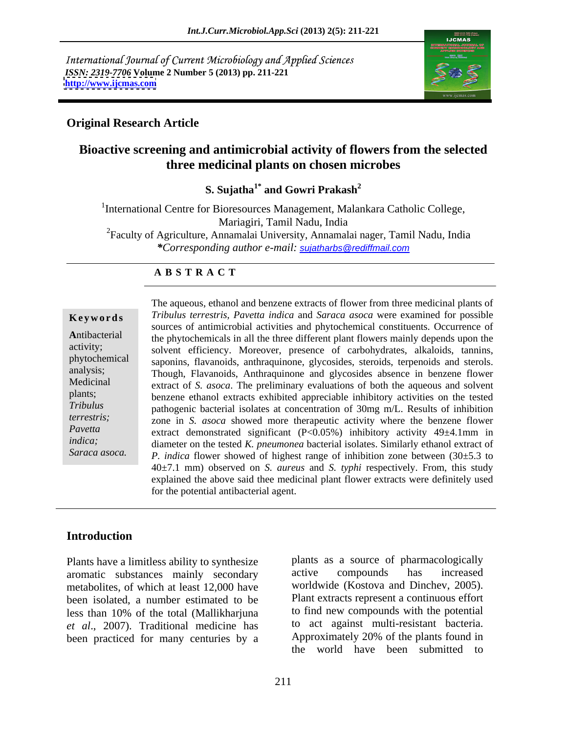International Journal of Current Microbiology and Applied Sciences *ISSN: 2319-7706* **Volume 2 Number 5 (2013) pp. 211-221 <http://www.ijcmas.com>**



### **Original Research Article**

### **Bioactive screening and antimicrobial activity of flowers from the selected three medicinal plants on chosen microbes**

**S. Sujatha1\* and Gowri Prakash2**

<sup>1</sup>International Centre for Bioresources Management, Malankara Catholic College, Mariagiri, Tamil Nadu, India <sup>2</sup>Faculty of Agriculture, Annamalai University, Annamalai nager, Tamil Nadu, India *\*Corresponding author e-mail:* sujatharbs@rediffmail.com

### **A B S T R A C T**

 $\alpha$  appreciable infibitory activities on the tested<br>proportration of  $30mg \, m/L$  Docults of inhibition *terrestris;* zone in *S. asoca* showed more therapeutic activity where the benzene flower **Ke ywo rds** *Tribulus terrestris, Pavetta indica* and *Saraca asoca* were examined for possible Antibacterial the phytochemicals in all the three different plant flowers mainly depends upon the activity; solvent efficiency. Moreover, presence of carbohydrates, alkaloids, tannins, phytochemical saponins, flavanoids, anthraquinone, glycosides, steroids, terpenoids and sterols. analysis; Though, Flavanoids, Anthraquinone and glycosides absence in benzene flower Medicinal extract of *S. asoca*. The preliminary evaluations of both the aqueous and solvent plants; benzene ethanol extracts exhibited appreciable inhibitory activities on the tested *Tribulus*  pathogenic bacterial isolates at concentration of 30mg m/L. Results of inhibition *Pavetta*  extract demonstrated significant (P<0.05%) inhibitory activity 49±4.1mm in *indica;*  diameter on the tested *K. pneumonea* bacterial isolates. Similarly ethanol extract of *Saraca asoca. P. indica* flower showed of highest range of inhibition zone between (30±5.3 to The aqueous, ethanol and benzene extracts of flower from three medicinal plants ofsources of antimicrobial activities and phytochemical constituents. Occurrence of 40±7.1 mm) observed on *S. aureus* and *S. typhi* respectively. From, this study explained the above said thee medicinal plant flower extracts were definitely used for the potential antibacterial agent.

### **Introduction**

Plants have a limitless ability to synthesize plants as a source of pharmacologically aromatic substances mainly secondary active compounds has increased aromatic substances mainly secondary metabolites, of which at least 12,000 have been isolated, a number estimated to be *et al.*, 2007). Traditional medicine has to act against multi-resistant bacteria.<br> **been** practiced for many centuries by a **Approximately 20%** of the plants found in been practiced for many centuries by a

less than 10% of the total (Mallikharjuna to find new compounds with the potential plants as a source of pharmacologically active compounds has increased worldwide (Kostova and Dinchev, 2005). Plant extracts represent a continuous effort to find new compounds with the potential to act against multi-resistant bacteria. Approximately 20% of the plants found in the world have been submitted to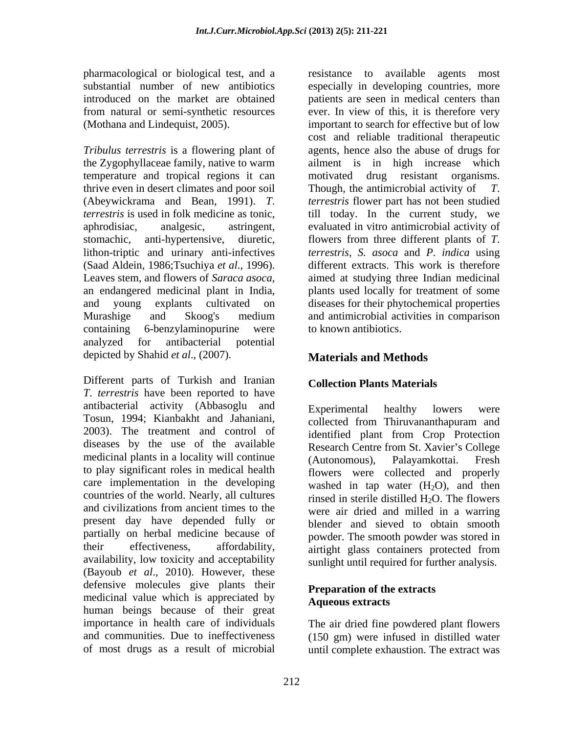the Zygophyllaceae family, native to warm temperature and tropical regions it can motivated drug resistant organisms. thrive even in desert climates and poor soil Though, the antimicrobial activity of T. lithon-triptic and urinary anti-infectives containing 6-benzylaminopurine were analyzed for antibacterial potential depicted by Shahid *et al*., (2007).

Different parts of Turkish and Iranian *T*. *terrestris* have been reported to have antibacterial activity (Abbasoglu and Tosun, 1994; Kianbakht and Jahaniani, 2003). The treatment and control of diseases by the use of the available medicinal plants in a locality will continue (Autonomous), Palayamkottai. Fresh to play significant roles in medical health care implementation in the developing countries of the world. Nearly, all cultures and civilizations from ancient times to the  $\qquad$  were air dried and milled in a warring present day have depended fully or partially on herbal medicine because of their effectiveness, affordability, airtight glass containers protected from availability, low toxicity and acceptability (Bayoub *et al*., 2010). However, these defensive molecules give plants their medicinal value which is appreciated by **Aqueous extracts** human beings because of their great importance in health care of individuals The air dried fine powdered plant flowers and communities. Due to ineffectiveness (150 gm) were infused in distilled water

pharmacological or biological test, and a resistance to available agents most substantial number of new antibiotics especially in developing countries, more introduced on the market are obtained patients are seen in medical centers than from natural or semi-synthetic resources ever. In view of this, it is therefore very (Mothana and Lindequist, 2005). important to search for effective but of low *Tribulus terrestris* is a flowering plant of agents, hence also the abuse of drugs for (Abeywickrama and Bean, 1991). *T*. *terrestris* flower part has not been studied *terrestris* is used in folk medicine as tonic, iill today. In the current study, we aphrodisiac, analgesic, astringent, evaluated in vitro antimicrobial activity of stomachic, anti-hypertensive, diuretic, flowers from three different plants of *T*. (Saad Aldein, 1986;Tsuchiya *et al*., 1996). different extracts. This work is therefore Leaves stem, and flowers of *Saraca asoca*, aimed at studying three Indian medicinal an endangered medicinal plant in India, plants used locally for treatment of some and young explants cultivated on diseases for their phytochemical properties Murashige and Skoog's medium and antimicrobial activities in comparison cost and reliable traditional therapeutic ailment is in high increase which motivated drug resistant Though, the antimicrobial activity of *T*. *terrestris, S. asoca* and *P. indica* using aimed at studying three Indian medicinal plants used locally for treatment of some to known antibiotics.

### **Materials and Methods**

### **Collection Plants Materials**

Experimental healthy lowers were collected from Thiruvananthapuram and identified plant from Crop Protection Research Centre from St. Xavier's College (Autonomous), Palayamkottai. Fresh flowers were collected and properly washed in tap water  $(H<sub>2</sub>O)$ , and then rinsed in sterile distilled  $H_2O$ . The flowers were air dried and milled in a warring blender and sieved to obtain smooth powder. The smooth powder was stored in airtight glass containers protected from sunlight until required for further analysis.

### **Preparation of the extracts Aqueous extracts**

of most drugs as a result of microbial until complete exhaustion. The extract was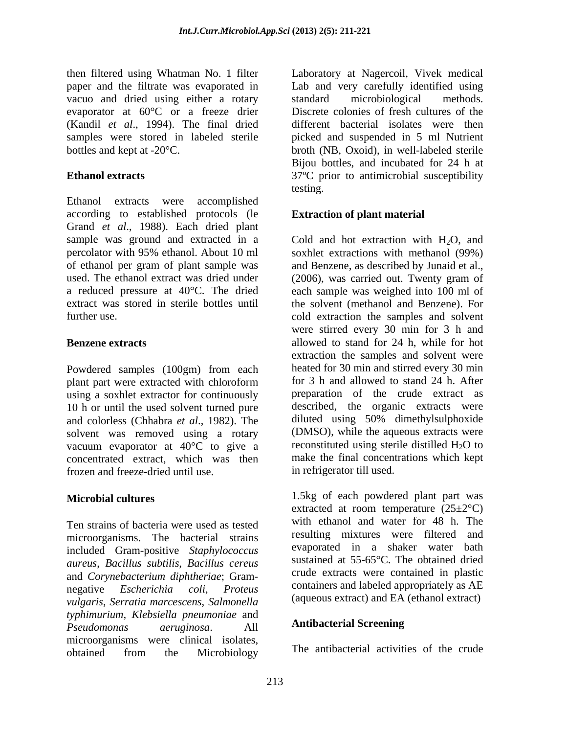then filtered using Whatman No. 1 filter Laboratory at Nagercoil, Vivek medical paper and the filtrate was evaporated in Lab and very carefully identified using vacuo and dried using either a rotary standard microbiological methods. evaporator at 60°C or a freeze drier (Kandil *et al*., 1994). The final dried samples were stored in labeled sterile picked and suspended in 5 ml Nutrient bottles and kept at -20°C. broth (NB, Oxoid), in well-labeled sterile

Ethanol extracts were accomplished according to established protocols (le Grand *et al*., 1988). Each dried plant of ethanol per gram of plant sample was

Powdered samples (100gm) from each plant part were extracted with chloroform using a soxhlet extractor for continuously 10 h or until the used solvent turned pure and colorless (Chhabra *et al*., 1982). The solvent was removed using a rotary (DMSO), while the aqueous extracts were<br>vacuum evanorator at  $40^{\circ}$ C to give a reconstituted using sterile distilled H<sub>2</sub>O to vacuum evaporator at 40°C to give a concentrated extract, which was then frozen and freeze-dried until use.

Ten strains of bacteria were used as tested microorganisms. The bacterial strains included Gram-positive *Staphylococcus aureus*, *Bacillus subtilis*, *Bacillus cereus* and *Corynebacterium diphtheriae*; Gram *vulgaris*, *Serratia marcescens*, *Salmonella typhimurium*, *Klebsiella pneumoniae* and *Pseudomonas aeruginosa*. All microorganisms were clinical isolates, obtained from the Microbiology and Integrational activities of the crude

**Ethanol extracts** 27<sup>o</sup>C prior to antimicrobial susceptibility standard microbiological methods. Discrete colonies of fresh cultures of the different bacterial isolates were then Bijou bottles, and incubated for 24 h at testing.

### **Extraction of plant material**

sample was ground and extracted in a  $\Box$  Cold and hot extraction with  $H_2O$ , and percolator with 95% ethanol. About 10 ml used. The ethanol extract was dried under (2006), was carried out. Twenty gram of a reduced pressure at 40°C. The dried each sample was weighed into 100 ml of extract was stored in sterile bottles until the solvent (methanol and Benzene). For further use. cold extraction the samples and solvent **Benzene extracts** allowed to stand for 24 h, while for hot soxhlet extractions with methanol (99%) and Benzene, as described by Junaid et al., were stirred every 30 min for 3 h and extraction the samples and solvent were heated for 30 min and stirred every 30 min for 3 h and allowed to stand 24 h. After preparation of the crude extract as described, the organic extracts were diluted using 50% dimethylsulphoxide (DMSO), while the aqueous extracts were reconstituted using sterile distilled  $H_2O$  to make the final concentrations which kept in refrigerator till used.

**Microbial cultures** 1.5kg of each powdered plant part was negative *Escherichia coli*, *Proteus* containers and labeled appropriately as AE extracted at room temperature  $(25 \pm 2^{\circ}C)$ with ethanol and water for 48 h. The resulting mixtures were filtered and evaporated in a shaker water bath sustained at 55-65°C. The obtained dried crude extracts were contained in plastic (aqueous extract) and EA (ethanol extract)

### **Antibacterial Screening**

The antibacterial activities of the crude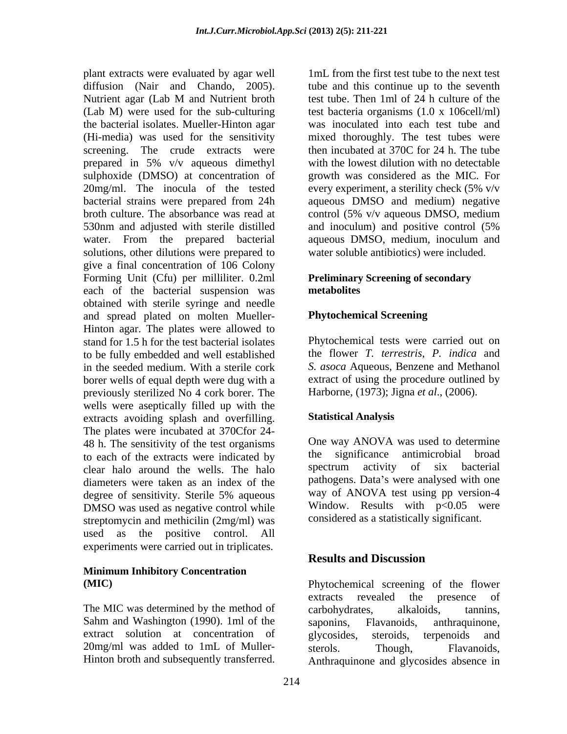plant extracts were evaluated by agar well diffusion (Nair and Chando, 2005). tube and this continue up to the seventh Nutrient agar (Lab M and Nutrient broth test tube. Then 1ml of 24 h culture of the (Lab M) were used for the sub-culturing test bacteria organisms (1.0 x 106cell/ml) the bacterial isolates. Mueller-Hinton agar was inoculated into each test tube and (Hi-media) was used for the sensitivity mixed thoroughly. The test tubes were screening. The crude extracts were prepared in 5% v/v aqueous dimethyl sulphoxide (DMSO) at concentration of growth was considered as the MIC. For 20mg/ml. The inocula of the tested every experiment, a sterility check (5% v/v bacterial strains were prepared from 24h broth culture. The absorbance was read at control (5% v/v aqueous DMSO, medium 530nm and adjusted with sterile distilled and inoculum) and positive control (5% water. From the prepared bacterial solutions, other dilutions were prepared to give a final concentration of 106 Colony Forming Unit (Cfu) per milliliter. 0.2ml each of the bacterial suspension was **metabolites** obtained with sterile syringe and needle and spread plated on molten Mueller- Hinton agar. The plates were allowed to stand for 1.5 h for the test bacterial isolates to be fully embedded and well established in the seeded medium. With a sterile cork borer wells of equal depth were dug with a previously sterilized No 4 cork borer. The wells were aseptically filled up with the extracts avoiding splash and overfilling. Statistical Analysis The plates were incubated at 370Cfor 24- 48 h. The sensitivity of the test organisms one way ANOVA was used to determine<br>to each of the extracts were indicated by the significance antimicrobial broad to each of the extracts were indicated by the significance antimicrobial broad<br>clear halo around the wells. The halo spectrum activity of six bacterial clear halo around the wells. The halo diameters were taken as an index of the degree of sensitivity. Sterile 5% aqueous way of ANOVA test using pp version-4 DMSO was used as negative control while streptomycin and methicilin (2mg/ml) was used as the positive control. All experiments were carried out in triplicates.

## **Minimum Inhibitory Concentration**

The MIC was determined by the method of carbohydrates, alkaloids, tannins, Sahm and Washington (1990). 1ml of the saponins, Flavanoids, anthraquinone, extract solution at concentration of elycosides, steroids, terpenoids and 20mg/ml was added to 1mL of Muller-<br>sterols. Though. Flavanoids.

1mL from the first test tube to the next test test tube. Then 1ml of 24 h culture of the then incubated at 370C for 24 h. The tube with the lowest dilution with no detectable aqueous DMSO and medium) negative control (5% v/v aqueous DMSO, medium and inoculum) and positive control (5% aqueous DMSO, medium, inoculum and water soluble antibiotics) were included.

### **Preliminary Screening of secondary metabolites**

### **Phytochemical Screening**

Phytochemical tests were carried out on the flower *T. terrestris*, *P. indica* and *S. asoca* Aqueous, Benzene and Methanol extract of using the procedure outlined by Harborne, (1973); Jigna *et al*., (2006).

### **Statistical Analysis**

One way ANOVA was used to determine significance antimicrobial spectrum activity of six bacterial pathogens. Data's were analysed with one way of ANOVA test using pp version-4 Window. Results with p<0.05 were considered as a statistically significant.

### **Results and Discussion**

**(MIC)** Phytochemical screening of the flower Hinton broth and subsequently transferred. Anthraquinone and glycosides absence in extracts revealed the presence of carbohydrates, alkaloids, tannins, saponins, Flavanoids, anthraquinone, glycosides, steroids, terpenoids and sterols. Though, Flavanoids,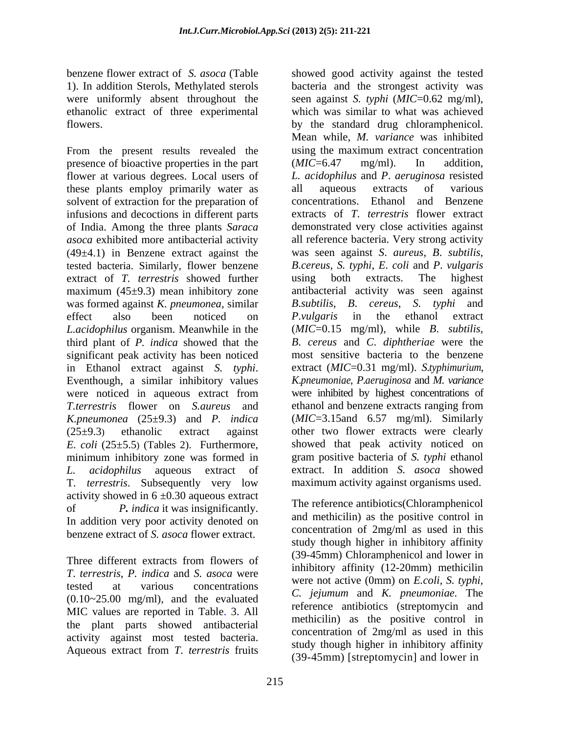benzene flower extract of *S. asoca* (Table showed good activity against the tested

From the present results revealed the using the maximum extract concentration presence of bioactive properties in the part  $(MIC=6.47 \text{ mg/ml})$ . In addition, flower at various degrees. Local users of these plants employ primarily water as all aqueous extracts of various solvent of extraction for the preparation of infusions and decoctions in different parts of India. Among the three plants *Saraca asoca* exhibited more antibacterial activity all reference bacteria. Very strong activity (49±4.1) in Benzene extract against the tested bacteria. Similarly, flower benzene *B*.*cereus*, *S. typhi*, *E*. *coli* and *P*. *vulgaris* extract of *T. terrestris* showed further maximum (45±9.3) mean inhibitory zone antibacterial activity was seen against was formed against *K. pneumonea,* similar *B*.*subtilis*, *B*. *cereus*, *S. typhi* and effect also been noticed on *P.vulgaris* in the ethanol extract *L.acidophilus* organism. Meanwhile in the (*MIC*=0.15 mg/ml), while *B*. *subtilis*, third plant of *P. indica* showed that the *B*. *cereus* and *C*. *diphtheriae* were the significant peak activity has been noticed in Ethanol extract against *S. typhi.* extract (*MIC=*0.31 mg/ml). *S.typhimurium*,<br>Eventhough, a similar inhibitory values *K.pneumoniae, P.aeruginosa* and *M. variance* were noticed in aqueous extract from *T.terrestris* flower on *S.aureus* and *K.pneumonea* (25±9.3) and *P. indica* (*MIC*=3.15and 6.57 mg/ml). Similarly (25±9.3) ethanolic extract against other two flower extracts were clearly *E. coli* (25±5.5) (Tables 2). Furthermore, minimum inhibitory zone was formed in *L. acidophilus* aqueous extract of extract. In addition *S. asoca* showed T. *terrestris*. Subsequently very low maximum activity against organisms used. activity showed in  $6 \pm 0.30$  aqueous extract of *P. indica* it was insignificantly. In addition very poor activity denoted on benzene extract of *S. asoca* flower extract.

*T. terrestris, P. indica* and *S. asoca* were minimum and *S. assoca* were not active (0mm) on *E.coli, S. typhi*, (0.10 $\sim$ 25.00 mg/ml), and the evaluated c. *jejumum* and *K. pneumoniae*. The MIC values are reported in Table. 3. All the plant parts showed antibacterial activity against most tested bacteria. Aqueous extract from *T*. *terrestris* fruits

1). In addition Sterols, Methylated sterols bacteria and the strongest activity was were uniformly absent throughout the seen against *S. typhi* (*MIC*=0.62 mg/ml), ethanolic extract of three experimental which was similar to what was achieved flowers. by the standard drug chloramphenicol. Mean while, *M. variance* was inhibited using the maximum extract concentration (*MIC*=6.47 mg/ml). In addition, *L. acidophilus* and *P*. *aeruginosa* resisted all aqueous extracts of various concentrations. Ethanol and Benzene extracts of *T*. *terrestris* flower extract demonstrated very close activities against was seen against *S*. *aureus*, *B*. *subtilis*, using both extracts. The highest *P*.*vulgaris* in the ethanol extract most sensitive bacteria to the benzene extract (*MIC*=0.31 mg/ml). *S*.*typhimurium*, *K*.*pneumoniae*, *P*.*aeruginosa* and *M. variance* were inhibited by highest concentrations of ethanol and benzene extracts ranging from showed that peak activity noticed on gram positive bacteria of *S. typhi* ethanol extract. In addition *S. asoca* showed maximum activity against organisms used.

Three different extracts from flowers of  $(32.4)$  contained and lower in tested at various concentrations were not active (orining on *E.Con*, *S. typni*, The reference antibiotics(Chloramphenicol and methicilin) as the positive control in concentration of 2mg/ml as used in this study though higher in inhibitory affinity (39-45mm) Chloramphenicol and lower in inhibitory affinity (12-20mm) methicilin were not active (0mm) on *E.coli, S. typhi, C. jejumum* and *K. pneumoniae.* The reference antibiotics (streptomycin and methicilin) as the positive control in concentration of 2mg/ml as used in this study though higher in inhibitory affinity (39-45mm) [streptomycin] and lower in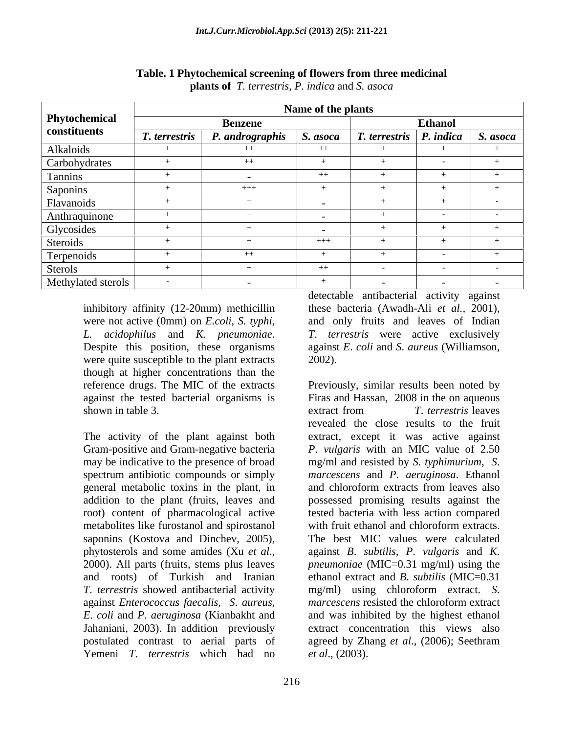| <b>Phytochemical</b> | Name of the plants |                 |                          |                                         |  |          |  |  |  |  |  |
|----------------------|--------------------|-----------------|--------------------------|-----------------------------------------|--|----------|--|--|--|--|--|
|                      |                    | <b>Benzene</b>  | <b>Ethanol</b>           |                                         |  |          |  |  |  |  |  |
| constituents         | T. terrestris      | P. andrographis | S. asoca                 | $T.$ terrestris $\mid P.$ indica $\mid$ |  | S. asoca |  |  |  |  |  |
| Alkaloids            |                    | $^{++}$         | $++$                     |                                         |  |          |  |  |  |  |  |
| Carbohydrates        |                    |                 |                          |                                         |  |          |  |  |  |  |  |
| Tannins              |                    |                 | $++$                     |                                         |  |          |  |  |  |  |  |
| Saponins             |                    | $+++$           |                          |                                         |  |          |  |  |  |  |  |
| Flavanoids           |                    |                 | $\overline{\phantom{a}}$ |                                         |  |          |  |  |  |  |  |
| Anthraquinone        |                    |                 |                          |                                         |  |          |  |  |  |  |  |
| Glycosides           |                    |                 |                          |                                         |  |          |  |  |  |  |  |
| Steroids             |                    |                 | $+++$                    |                                         |  |          |  |  |  |  |  |
| Terpenoids           |                    | $^{++}$         |                          |                                         |  |          |  |  |  |  |  |
| Sterols              |                    |                 | $++$                     |                                         |  |          |  |  |  |  |  |
| Methylated sterols   | $-$                |                 |                          |                                         |  | $\sim$   |  |  |  |  |  |

**Table. 1 Phytochemical screening of flowers from three medicinal plants of** *T. terrestris, P. indica* and *S. asoca*

inhibitory affinity (12-20mm) methicillin were not active (0mm) on *E.coli, S. typhi, L. acidophilus* and *K. pneumoniae. T. terrestris* were active exclusively Despite this position, these organisms against *E. coli* and *S. aureus* (Williamson, were quite susceptible to the plant extracts 2002). though at higher concentrations than the shown in table 3. The state of the state of the state of the state of the state of the state of the state of the state of the state of the state of the state of the state of the state of the state of the state of the state

general metabolic toxins in the plant, in metabolites like furostanol and spirostanol with fruit ethanol and chloroform extracts. *T*. *terrestris* showed antibacterial activity against *Enterococcus faecalis*, *S*. *aureus*, *E*. *coli* and *P*. *aeruginosa* (Kianbakht and postulated contrast to aerial parts of agreed by Zhang *et al.*, (2006); Seethram Yemeni *T*. *terrestris* which had no

detectable antibacterial activity against these bacteria (Awadh-Ali *et al.,* 2001), and only fruits and leaves of Indian *T*. *terrestris* were active exclusively against *E*. *coli* and *S*. *aureus* (Williamson, 2002).

reference drugs. The MIC of the extracts Previously, similar results been noted by against the tested bacterial organisms is Firas and Hassan, 2008 in the on aqueous The activity of the plant against both extract, except it was active against Gram-positive and Gram-negative bacteria *P*. *vulgaris* with an MIC value of 2.50 may be indicative to the presence of broad mg/ml and resisted by *S*. *typhimurium*, *S*. spectrum antibiotic compounds or simply *marcescens* and *P*. *aeruginosa*. Ethanol addition to the plant (fruits, leaves and possessed promising results against the root) content of pharmacological active tested bacteria with less action compared saponins (Kostova and Dinchev, 2005), The best MIC values were calculated phytosterols and some amides (Xu *et al.*, against *B. subtilis, P. vulgaris* and *K.* 2000). All parts (fruits, stems plus leaves pneumoniae (MIC=0.31 mg/ml) using the and roots) of Turkish and Iranian ethanol extract and *B*. *subtilis* (MIC=0.31 Jahaniani, 2003). In addition previously extract concentration this views also extract from *T*. *terrestris* leaves revealed the close results to the fruit and chloroform extracts from leaves also with fruit ethanol and chloroform extracts. against *B*. *subtilis*, *P*. *vulgaris* and *K*. *pneumoniae* (MIC=0.31 mg/ml) using the mg/ml) using chloroform extract. *S*. *marcescens* resisted the chloroform extract and was inhibited by the highest ethanol agreed by Zhang *et al*., (2006); Seethram *et al*., (2003).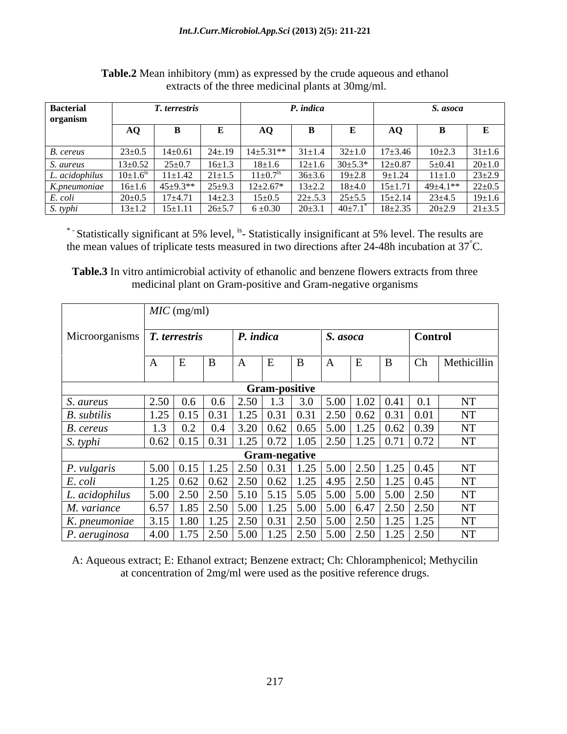| Bacterial<br>T. terrestris<br>organism |  |                                       |              |                            | P. indice    |                 | S. asoca               |                           |              |
|----------------------------------------|--|---------------------------------------|--------------|----------------------------|--------------|-----------------|------------------------|---------------------------|--------------|
|                                        |  |                                       |              |                            |              |                 |                        |                           |              |
| <i>B. cereus</i>                       |  | 14±0.61                               |              | $24\pm.19$   $14\pm5.31**$ | $31 \pm 1.4$ | $32 \pm 1.0$    | $17\pm3.46$            | $10\pm 2.3$               | $31 \pm 1.6$ |
| S. aureus                              |  | $25 \pm 0.7$                          | $16 \pm 1.3$ | $18 \pm 1.6$               | $12\pm1.6$   | $130 \pm 5.3^*$ | $12{\pm}0.87$          | $5 \pm 0.41$              | $+20\pm1.0$  |
| L. acidophilus                         |  | $11 \pm 1.42$                         | $21 \pm 1.5$ | $11{\pm}0.7^{\text{is}}$   | $36\pm3.6$   |                 | $19\pm2.8$ 9 $\pm1.24$ | $11 \pm 1.0$              |              |
| K.pneumoniae                           |  |                                       |              | $12+2.67*$                 | $13 + 2.2$   | $18 + 4.0$      |                        | $15\pm1.71$ 49 $\pm4.1**$ | $22 \pm 0.5$ |
| E. coli                                |  | $17\pm4.71$                           | $14\pm2.3$   | - 15+0.5                   |              |                 | $15\pm 2.14$           | $23 \pm 4.5$              |              |
| S. typhi                               |  | $13\pm1.2$   $15\pm1.11$   $26\pm5.7$ |              | $6 \pm 0.30$               | $20 \pm 3.1$ | $40 \pm 7.1$    | $18 \pm 2.35$          | $20\pm 2.9$ 21 $\pm 3.5$  |              |

**Table.2** Mean inhibitory (mm) as expressed by the crude aqueous and ethanol extracts of the three medicinal plants at 30mg/ml.

\* Statistically significant at 5% level, <sup>is</sup>-Statistically insignificant at 5% level. The results are the mean values of triplicate tests measured in two directions after 24-48h incubation at 37°C.

**Table.3** In vitro antimicrobial activity of ethanolic and benzene flowers extracts from three medicinal plant on Gram-positive and Gram-negative organisms

|                                                     | $MIC$ (mg/ml) |                                 |                                                                                                                      |                                                                                          |                                          |                |             |
|-----------------------------------------------------|---------------|---------------------------------|----------------------------------------------------------------------------------------------------------------------|------------------------------------------------------------------------------------------|------------------------------------------|----------------|-------------|
| $\vert$ Microorganisms $\vert$ <i>T. terrestris</i> |               |                                 | $P.$ indica                                                                                                          | S. asoca                                                                                 |                                          | <b>Control</b> |             |
|                                                     | E             |                                 | E<br>$\overline{A}$                                                                                                  |                                                                                          | B                                        | Ch             | Methicillin |
|                                                     |               |                                 | <b>Gram-positive</b>                                                                                                 |                                                                                          |                                          |                |             |
| S. aureus                                           | 2.50          | $0.6 \mid 0.6 \mid 2.50 \mid$   |                                                                                                                      | $3.0$ 5.00                                                                               | $1.02 \mid 0.41 \mid$                    | 0.1            | NT          |
| B. subtilis                                         | 1.25          |                                 | $\boxed{0.15 \mid 0.31 \mid 1.25 \mid 0.31 \mid 0.31 \mid 2.50 \mid 0.62 \mid 0.31 \mid 0.01}$                       |                                                                                          |                                          |                | NT          |
| <i>B. cereus</i>                                    |               |                                 |                                                                                                                      |                                                                                          |                                          |                | NT          |
| S. typhi                                            | 0.62          |                                 | $\vert 0.15 \vert 0.31 \vert 1.25 \vert 0.72 \vert 1.05 \vert 2.50 \vert 1.25 \vert 0.71 \vert 0.72$                 |                                                                                          |                                          |                | NT          |
|                                                     |               |                                 | <b>Gram-negative</b>                                                                                                 |                                                                                          |                                          |                |             |
| P. vulgaris                                         | 5.00          |                                 | $\vert 0.15 \vert 1.25 \vert 2.50 \vert 0.31 \vert 1.25 \vert 5.00 \vert 2.50 \vert$                                 |                                                                                          | $1.25 \mid 0.45$                         |                | NT          |
| E. coli                                             |               |                                 | $1.25$   0.62   0.62   2.50   0.62   1.25   4.95   2.50   1.25   0.45                                                |                                                                                          |                                          |                | NT          |
| L. acidophilus                                      | 5.00          |                                 | $\vert$ 2.50 $\vert$ 2.50 $\vert$ 5.10 $\vert$ 5.15 $\vert$ 5.05 $\vert$ 5.00 $\vert$ 5.00 $\vert$ 5.00 $\vert$ 2.50 |                                                                                          |                                          |                | NT          |
| M. variance                                         | 6.57          |                                 | $\mid$ 1.85 $\mid$ 2.50 $\mid$ 5.00 $\mid$ 1.25 $\mid$ 5.00 $\mid$ 5.00 $\mid$ 6.47 $\mid$                           |                                                                                          | $\vert 2.50 \vert 2.50 \vert$            |                | NT          |
| K. pneumoniae                                       | 1.80          |                                 | $1.25$ 2.50                                                                                                          | $\begin{array}{ c c c c c c c c c } \hline 0.31 & 2.50 & 5.00 & 2.50 \hline \end{array}$ | $1.25$ 1.25                              |                | NT          |
| P. aeruginosa                                       | 4.00          | $1.75 \mid 2.50 \mid 5.00 \mid$ |                                                                                                                      | $1.25$ 2.50 5.00                                                                         | $\vert 2.50 \vert 1.25 \vert 2.50 \vert$ |                | <b>NT</b>   |

A: Aqueous extract; E: Ethanol extract; Benzene extract; Ch: Chloramphenicol; Methycilin at concentration of 2mg/ml were used as the positive reference drugs.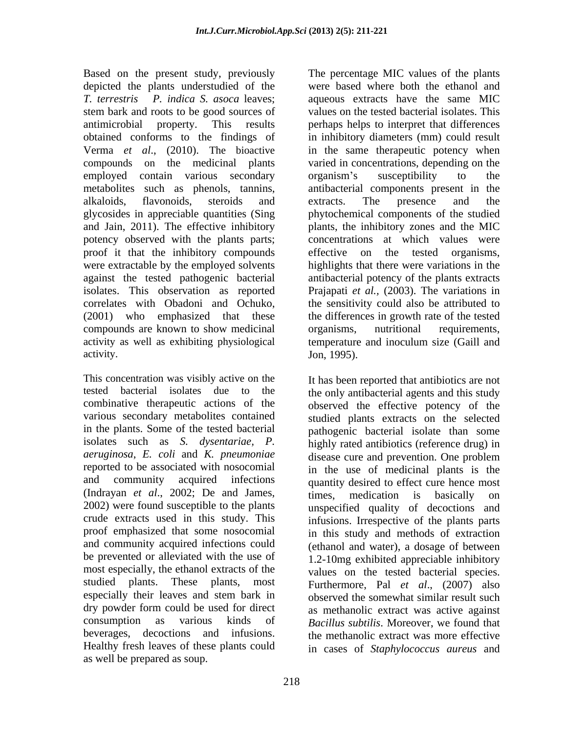Based on the present study, previously employed contain various secondary organism's susceptibility to the potency observed with the plants parts; proof it that the inhibitory compounds effective on the tested organisms, correlates with Obadoni and Ochuko, compounds are known to show medicinal organisms, nutritional requirements, activity. Jon, 1995).

in the plants. Some of the tested bacterial (Indrayan *et al*., 2002; De and James, 2002) were found susceptible to the plants crude extracts used in this study. This proof emphasized that some nosocomial be prevented or alleviated with the use of Healthy fresh leaves of these plants could as well be prepared as soup.

depicted the plants understudied of the were based where both the ethanol and *T. terrestris P. indica S. asoca* leaves; aqueous extracts have the same MIC stem bark and roots to be good sources of values on the tested bacterial isolates. This antimicrobial property. This results perhaps helps to interpret that differences obtained conforms to the findings of in inhibitory diameters (mm) could result Verma *et al*., (2010). The bioactive in the same therapeutic potency when compounds on the medicinal plants varied in concentrations, depending on the metabolites such as phenols, tannins, antibacterial components present in the alkaloids, flavonoids, steroids and extracts. The presence and the glycosides in appreciable quantities (Sing phytochemical components of the studied and Jain, 2011). The effective inhibitory plants, the inhibitory zones and the MIC were extractable by the employed solvents highlights that there were variations in the against the tested pathogenic bacterial antibacterial potency of the plants extracts isolates. This observation as reported Prajapati *et al.,* (2003). The variations in (2001) who emphasized that these the differences in growth rate of the tested activity as well as exhibiting physiological temperature and inoculum size (Gaill and The percentage MIC values of the plants organism's susceptibility to the extracts. The presence and the concentrations at which values were effective on the tested organisms, the sensitivity could also be attributed to organisms, nutritional requirements, Jon, 1995).

This concentration was visibly active on the It has been reported that antibiotics are not tested bacterial isolates due to the the only antibacterial agents and this study combinative therapeutic actions of the observed the effective potency of the various secondary metabolites contained studied plants extracts on the selected isolates such as *S. dysentariae, P.* highly rated antibiotics (reference drug) in *aeruginosa*, *E. coli* and *K. pneumoniae* disease cure and prevention. One problem reported to be associated with nosocomial in the use of medicinal plants is the and community acquired infections quantity desired to effect cure hence most and community acquired infections could (ethanol and water), a dosage of between most especially, the ethanol extracts of the values on the tested bacterial species. studied plants. These plants, most Furthermore, Pal *et al*., (2007) also especially their leaves and stem bark in observed the somewhat similar result such dry powder form could be used for direct as methanolic extract was active against consumption as various kinds of *Bacillus subtilis*. Moreover, we found that beverages, decoctions and infusions. the methanolic extract was more effective pathogenic bacterial isolate than some times, medication is basically on unspecified quality of decoctions and infusions. Irrespective of the plants parts in this study and methods of extraction 1.2-10mg exhibited appreciable inhibitory in cases of *Staphylococcus aureus* and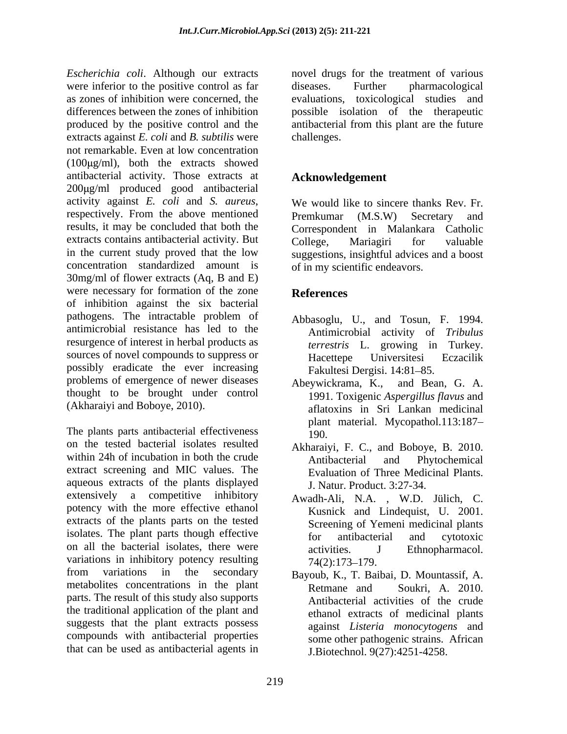*Escherichia coli*. Although our extracts novel drugs for the treatment of various were inferior to the positive control as far diseases. Further pharmacological as zones of inhibition were concerned, the evaluations, toxicological studies and differences between the zones of inhibition possible isolation of the therapeutic produced by the positive control and the extracts against *E. coli* and *B. subtilis* were not remarkable. Even at low concentration  $(100\mu g/ml)$ , both the extracts showed antibacterial activity. Those extracts at **Acknowledgement**  $200\mu g/ml$  produced good antibacterial activity against *E. coli* and *S. aureus*, We would like to sincere thanks Rev. Fr.<br>respectively. From the above mentioned Premkumar (M.S.W) Secretary and results, it may be concluded that both the Correspondent in Malankara Catholic extracts contains antibacterial activity. But College, Mariagiri for valuable in the current study proved that the low suggestions, insightful advices and a boost concentration standardized amount is 30mg/ml of flower extracts (Aq, B and E) were necessary for formation of the zone References of inhibition against the six bacterial pathogens. The intractable problem of antimicrobial resistance has led to the resurgence of interest in herbal products as sources of novel compounds to suppress or <br>
Hacettepe Universitesi Eczacilik possibly eradicate the ever increasing problems of emergence of newer diseases thought to be brought under control

The plants parts antibacterial effectiveness  $\frac{1}{190}$ on the tested bacterial isolates resulted within 24h of incubation in both the crude<br>Antibacterial and Phytochemical extract screening and MIC values. The aqueous extracts of the plants displayed extensively a competitive inhibitory potency with the more effective ethanol extracts of the plants parts on the tested isolates. The plant parts though effective for antibacterial and cytotoxic on all the bacterial isolates, there were activities. J Ethnopharmacol. variations in inhibitory potency resulting  $74(2):173-179$ . from variations in the secondary Bayoub K., T. Baibai, D. Mountassif, A. metabolites concentrations in the plant and Soukri, A. 2010. parts. The result of this study also supports the traditional application of the plant and suggests that the plant extracts possess compounds with antibacterial properties that can be used as antibacterial agents in

diseases. Further pharmacological antibacterial from this plant are the future challenges.

# **Acknowledgement**

We would like to sincere thanks Rev. Fr. Premkumar (M.S.W) Secretary and College, Mariagiri for valuable of in my scientific endeavors.

### **References**

- Abbasoglu, U., and Tosun, F. 1994. Antimicrobial activity of *Tribulus terrestris* L. growing in Turkey. Hacettepe Universitesi Eczacilik Fakultesi Dergisi. 14:81–85.
- (Akharaiyi and Boboye, 2010). aflatoxins in Sri Lankan medicinal Abeywickrama, K., and Bean, G. A. 1991. Toxigenic *Aspergillus flavus* and plant material. Mycopathol.113:187 190.
	- Akharaiyi, F. C., and Boboye, B. 2010. Antibacterial and Phytochemical Evaluation of Three Medicinal Plants. J. Natur. Product. 3:27-34.
	- Awadh-Ali, N.A. , W.D. Jülich, C. Kusnick and Lindequist, U. 2001. Screening of Yemeni medicinal plants for antibacterial and cytotoxic activities. J Ethnopharmacol. 74(2):173–179.
	- Bayoub, K., T. Baibai, D. Mountassif, A. Retmane and Soukri, A. 2010. Antibacterial activities of the crude ethanol extracts of medicinal plants against *Listeria monocytogens* and some other pathogenic strains. African J.Biotechnol. 9(27):4251-4258.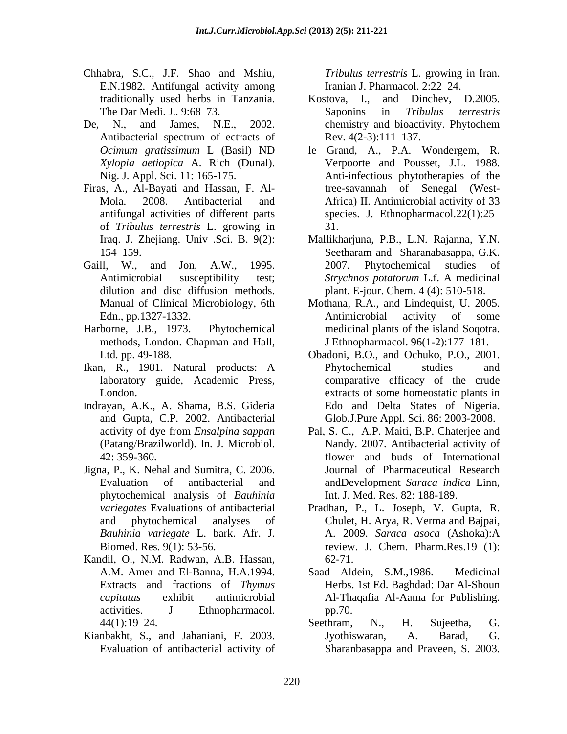- Chhabra, S.C., J.F. Shao and Mshiu, E.N.1982. Antifungal activity among traditionally used herbs in Tanzania.
- Antibacterial spectrum of ectracts of Rev. 4(2-3):111-137.
- Firas, A., Al-Bayati and Hassan, F. Al of *Tribulus terrestris* L. growing in
- dilution and disc diffusion methods.
- methods, London. Chapman and Hall,
- Ikan, R., 1981. Natural products: A
- Indrayan, A.K., A. Shama, B.S. Gideria and Gupta, C.P. 2002. Antibacterial
- Jigna, P., K. Nehal and Sumitra, C. 2006. phytochemical analysis of *Bauhinia*
- Kandil, O., N.M. Radwan, A.B. Hassan, activities. J Ethnopharmacol.
- Kianbakht, S., and Jahaniani, F. 2003. Evaluation of antibacterial activity of

*Tribulus terrestris* L. growing in Iran. Iranian J. Pharmacol. 2:22–24.

- The Dar Medi. J.. 9:68–73. Saponins in Tribulus terrestris De, N., and James, N.E., 2002. chemistry and bioactivity. Phytochem and Dinchev, D.2005. Saponins in *Tribulus terrestris* Rev.  $4(2-3)$ :111–137.
	- *Ocimum gratissimum* L (Basil) ND le Grand, A., P.A. Wondergem, R. *Xylopia aetiopica* A. Rich (Dunal). Nig. J. Appl. Sci. 11: 165-175. Anti-infectious phytotherapies of the Mola. 2008. Antibacterial and Africa) II. Antimicrobial activity of 33 antifungal activities of different parts species. J. Ethnopharmacol.22(1):25 Verpoorte and Pousset, J.L. 1988. Anti-infectious phytotherapies of the tree-savannah of Senegal (West- 31.
- Iraq. J. Zhejiang. Univ .Sci. B. 9(2): Mallikharjuna, P.B., L.N. Rajanna, Y.N. 154–159. Seetharam and Sharanabasappa, G.K. Gaill, W., and Jon, A.W., 1995. 2007. Phytochemical studies of Antimicrobial susceptibility test; Strychnos potatorum L.f. A medicinal Seetharam and Sharanabasappa, G.K. 2007. Phytochemical studies of *Strychnos potatorum* L.f. A medicinal plant. E-jour. Chem. 4 (4): 510-518.
- Manual of Clinical Microbiology, 6th Mothana, R.A., and Lindequist, U. 2005. Edn., pp.1327-1332. Antimicrobial activity of some Harborne, J.B., 1973. Phytochemical medicinal plants of the island Soqotra. Antimicrobial activity of some J Ethnopharmacol. 96(1-2):177 181.
	- Ltd. pp. 49-188. Obadoni, B.O., and Ochuko, P.O., 2001. laboratory guide, Academic Press, comparative efficacy of the crude London. extracts of some homeostatic plants in Phytochemical studies and Edo and Delta States of Nigeria. Glob.J.Pure Appl. Sci. 86: 2003-2008.
	- activity of dye from *Ensalpina sappan* Pal, S. C., A.P. Maiti, B.P. Chaterjee and (Patang/Brazilworld). In. J. Microbiol. Nandy. 2007. Antibacterial activity of 42: 359-360. flower and buds of International Evaluation of antibacterial and andDevelopment *Saraca indica* Linn, Journal of Pharmaceutical Research Int. J. Med. Res. 82: 188-189.
	- *variegates* Evaluations of antibacterial Pradhan, P., L. Joseph, V. Gupta, R. and phytochemical analyses of Chulet, H. Arya, R. Verma and Bajpai, *Bauhinia variegate* L. bark. Afr. J. Biomed. Res. 9(1): 53-56. review. J. Chem. Pharm.Res.19 (1): A. 2009. *Saraca asoca* (Ashoka):A 62-71.
	- A.M. Amer and El-Banna, H.A.1994. Extracts and fractions of *Thymus* Herbs. 1st Ed. Baghdad: Dar Al-Shoun *capitatus* exhibit antimicrobial Al-Thaqafia Al-Aama for Publishing. Saad Aldein, S.M., 1986. pp.70.
	- 44(1):19–24. Seethram, N., H. Sujeetha, G. Seethram, N., H. Sujeetha, G. Jyothiswaran, A. Barad, G. Sharanbasappa and Praveen, S. 2003.